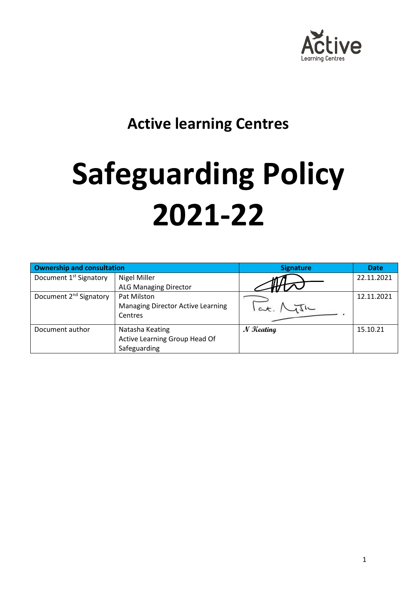

## **Active learning Centres**

# **Safeguarding Policy 2021-22**

| <b>Ownership and consultation</b>  |                                          | <b>Signature</b> | <b>Date</b> |
|------------------------------------|------------------------------------------|------------------|-------------|
| Document 1 <sup>st</sup> Signatory | Nigel Miller                             |                  | 22.11.2021  |
|                                    | <b>ALG Managing Director</b>             |                  |             |
| Document 2 <sup>nd</sup> Signatory | Pat Milston                              |                  | 12.11.2021  |
|                                    | <b>Managing Director Active Learning</b> |                  |             |
|                                    | Centres                                  |                  |             |
| Document author                    | Natasha Keating                          | $N$ Keating      | 15.10.21    |
|                                    | Active Learning Group Head Of            |                  |             |
|                                    | Safeguarding                             |                  |             |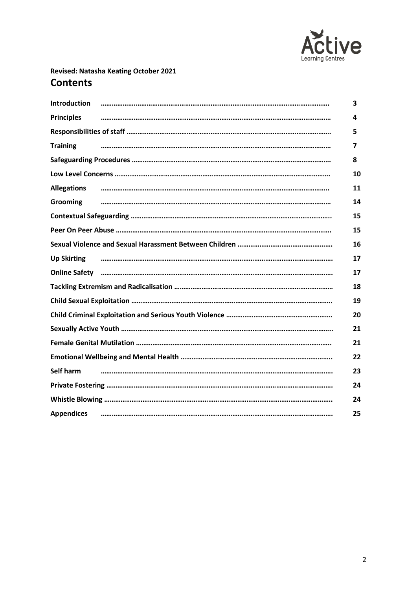

### **Revised: Natasha Keating October 2021 Contents**

| <b>Introduction</b> | 3. |
|---------------------|----|
| <b>Principles</b>   | 4  |
|                     | 5  |
| <b>Training</b>     | 7  |
|                     | 8  |
|                     | 10 |
| <b>Allegations</b>  | 11 |
| <b>Grooming</b>     | 14 |
|                     | 15 |
|                     | 15 |
|                     | 16 |
| <b>Up Skirting</b>  | 17 |
|                     | 17 |
|                     | 18 |
|                     | 19 |
|                     | 20 |
|                     | 21 |
|                     | 21 |
|                     | 22 |
| Self harm           | 23 |
|                     | 24 |
|                     | 24 |
| <b>Appendices</b>   | 25 |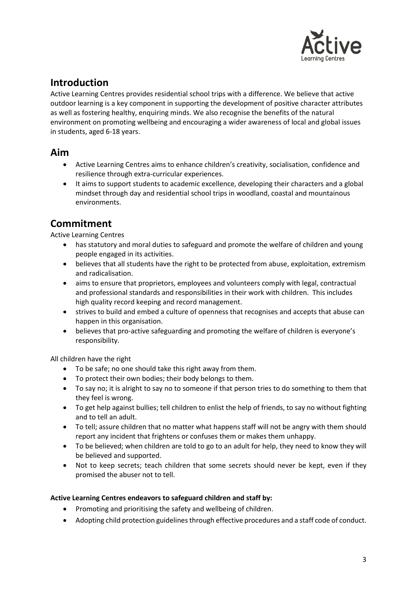

### **Introduction**

Active Learning Centres provides residential school trips with a difference. We believe that active outdoor learning is a key component in supporting the development of positive character attributes as well as fostering healthy, enquiring minds. We also recognise the benefits of the natural environment on promoting wellbeing and encouraging a wider awareness of local and global issues in students, aged 6-18 years.

### **Aim**

- Active Learning Centres aims to enhance children's creativity, socialisation, confidence and resilience through extra-curricular experiences.
- It aims to support students to academic excellence, developing their characters and a global mindset through day and residential school trips in woodland, coastal and mountainous environments.

### **Commitment**

Active Learning Centres

- has statutory and moral duties to safeguard and promote the welfare of children and young people engaged in its activities.
- believes that all students have the right to be protected from abuse, exploitation, extremism and radicalisation.
- aims to ensure that proprietors, employees and volunteers comply with legal, contractual and professional standards and responsibilities in their work with children. This includes high quality record keeping and record management.
- strives to build and embed a culture of openness that recognises and accepts that abuse can happen in this organisation.
- believes that pro-active safeguarding and promoting the welfare of children is everyone's responsibility.

All children have the right

- To be safe; no one should take this right away from them.
- To protect their own bodies; their body belongs to them.
- To say no; it is alright to say no to someone if that person tries to do something to them that they feel is wrong.
- To get help against bullies; tell children to enlist the help of friends, to say no without fighting and to tell an adult.
- To tell; assure children that no matter what happens staff will not be angry with them should report any incident that frightens or confuses them or makes them unhappy.
- To be believed; when children are told to go to an adult for help, they need to know they will be believed and supported.
- Not to keep secrets; teach children that some secrets should never be kept, even if they promised the abuser not to tell.

### **Active Learning Centres endeavors to safeguard children and staff by:**

- Promoting and prioritising the safety and wellbeing of children.
- Adopting child protection guidelines through effective procedures and a staff code of conduct.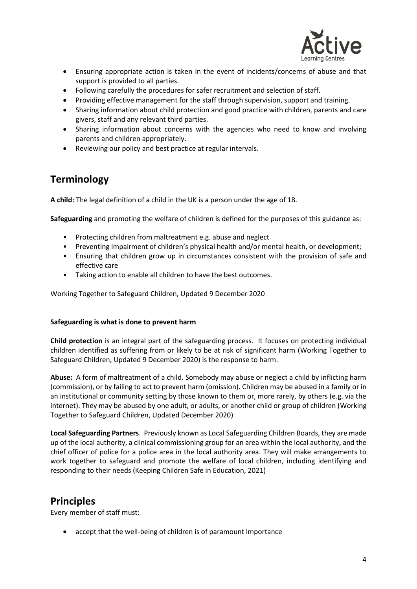

- Ensuring appropriate action is taken in the event of incidents/concerns of abuse and that support is provided to all parties.
- Following carefully the procedures for safer recruitment and selection of staff.
- Providing effective management for the staff through supervision, support and training.
- Sharing information about child protection and good practice with children, parents and care givers, staff and any relevant third parties.
- Sharing information about concerns with the agencies who need to know and involving parents and children appropriately.
- Reviewing our policy and best practice at regular intervals.

### **Terminology**

**A child:** The legal definition of a child in the UK is a person under the age of 18.

**Safeguarding** and promoting the welfare of children is defined for the purposes of this guidance as:

- Protecting children from maltreatment e.g. abuse and neglect
- Preventing impairment of children's physical health and/or mental health, or development;
- Ensuring that children grow up in circumstances consistent with the provision of safe and effective care
- Taking action to enable all children to have the best outcomes.

Working Together to Safeguard Children, Updated 9 December 2020

### **Safeguarding is what is done to prevent harm**

**Child protection** is an integral part of the safeguarding process. It focuses on protecting individual children identified as suffering from or likely to be at risk of significant harm (Working Together to Safeguard Children, Updated 9 December 2020) is the response to harm.

**Abuse:** A form of maltreatment of a child. Somebody may abuse or neglect a child by inflicting harm (commission), or by failing to act to prevent harm (omission). Children may be abused in a family or in an institutional or community setting by those known to them or, more rarely, by others (e.g. via the internet). They may be abused by one adult, or adults, or another child or group of children (Working Together to Safeguard Children, Updated December 2020)

**Local Safeguarding Partners**. Previously known as Local Safeguarding Children Boards, they are made up of the local authority, a clinical commissioning group for an area within the local authority, and the chief officer of police for a police area in the local authority area. They will make arrangements to work together to safeguard and promote the welfare of local children, including identifying and responding to their needs (Keeping Children Safe in Education, 2021)

### **Principles**

Every member of staff must:

accept that the well-being of children is of paramount importance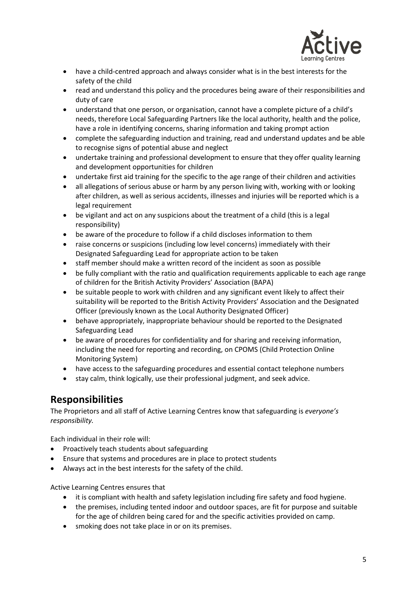

- have a child-centred approach and always consider what is in the best interests for the safety of the child
- read and understand this policy and the procedures being aware of their responsibilities and duty of care
- understand that one person, or organisation, cannot have a complete picture of a child's needs, therefore Local Safeguarding Partners like the local authority, health and the police, have a role in identifying concerns, sharing information and taking prompt action
- complete the safeguarding induction and training, read and understand updates and be able to recognise signs of potential abuse and neglect
- undertake training and professional development to ensure that they offer quality learning and development opportunities for children
- undertake first aid training for the specific to the age range of their children and activities
- all allegations of serious abuse or harm by any person living with, working with or looking after children, as well as serious accidents, illnesses and injuries will be reported which is a legal requirement
- be vigilant and act on any suspicions about the treatment of a child (this is a legal responsibility)
- be aware of the procedure to follow if a child discloses information to them
- raise concerns or suspicions (including low level concerns) immediately with their Designated Safeguarding Lead for appropriate action to be taken
- staff member should make a written record of the incident as soon as possible
- be fully compliant with the ratio and qualification requirements applicable to each age range of children for the British Activity Providers' Association (BAPA)
- be suitable people to work with children and any significant event likely to affect their suitability will be reported to the British Activity Providers' Association and the Designated Officer (previously known as the Local Authority Designated Officer)
- behave appropriately, inappropriate behaviour should be reported to the Designated Safeguarding Lead
- be aware of procedures for confidentiality and for sharing and receiving information, including the need for reporting and recording, on CPOMS (Child Protection Online Monitoring System)
- have access to the safeguarding procedures and essential contact telephone numbers
- stay calm, think logically, use their professional judgment, and seek advice.

### **Responsibilities**

The Proprietors and all staff of Active Learning Centres know that safeguarding is *everyone's responsibility.* 

Each individual in their role will:

- Proactively teach students about safeguarding
- Ensure that systems and procedures are in place to protect students
- Always act in the best interests for the safety of the child.

Active Learning Centres ensures that

- it is compliant with health and safety legislation including fire safety and food hygiene.
- the premises, including tented indoor and outdoor spaces, are fit for purpose and suitable for the age of children being cared for and the specific activities provided on camp.
- smoking does not take place in or on its premises.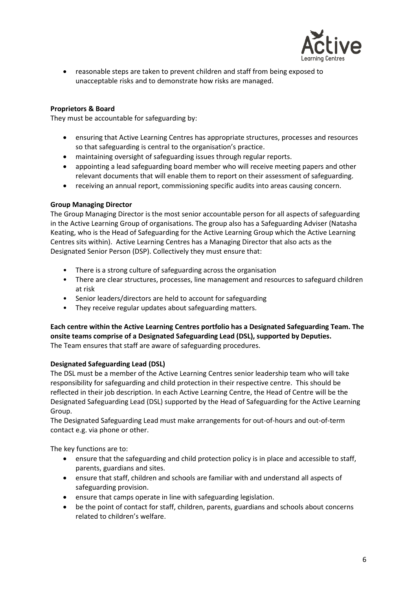

• reasonable steps are taken to prevent children and staff from being exposed to unacceptable risks and to demonstrate how risks are managed.

### **Proprietors & Board**

They must be accountable for safeguarding by:

- ensuring that Active Learning Centres has appropriate structures, processes and resources so that safeguarding is central to the organisation's practice.
- maintaining oversight of safeguarding issues through regular reports.
- appointing a lead safeguarding board member who will receive meeting papers and other relevant documents that will enable them to report on their assessment of safeguarding.
- receiving an annual report, commissioning specific audits into areas causing concern.

#### **Group Managing Director**

The Group Managing Director is the most senior accountable person for all aspects of safeguarding in the Active Learning Group of organisations. The group also has a Safeguarding Adviser (Natasha Keating, who is the Head of Safeguarding for the Active Learning Group which the Active Learning Centres sits within). Active Learning Centres has a Managing Director that also acts as the Designated Senior Person (DSP). Collectively they must ensure that:

- There is a strong culture of safeguarding across the organisation
- There are clear structures, processes, line management and resources to safeguard children at risk
- Senior leaders/directors are held to account for safeguarding
- They receive regular updates about safeguarding matters.

**Each centre within the Active Learning Centres portfolio has a Designated Safeguarding Team. The onsite teams comprise of a Designated Safeguarding Lead (DSL), supported by Deputies.** The Team ensures that staff are aware of safeguarding procedures.

#### **Designated Safeguarding Lead (DSL)**

The DSL must be a member of the Active Learning Centres senior leadership team who will take responsibility for safeguarding and child protection in their respective centre. This should be reflected in their job description. In each Active Learning Centre, the Head of Centre will be the Designated Safeguarding Lead (DSL) supported by the Head of Safeguarding for the Active Learning Group.

The Designated Safeguarding Lead must make arrangements for out-of-hours and out-of-term contact e.g. via phone or other.

The key functions are to:

- ensure that the safeguarding and child protection policy is in place and accessible to staff, parents, guardians and sites.
- ensure that staff, children and schools are familiar with and understand all aspects of safeguarding provision.
- ensure that camps operate in line with safeguarding legislation.
- be the point of contact for staff, children, parents, guardians and schools about concerns related to children's welfare.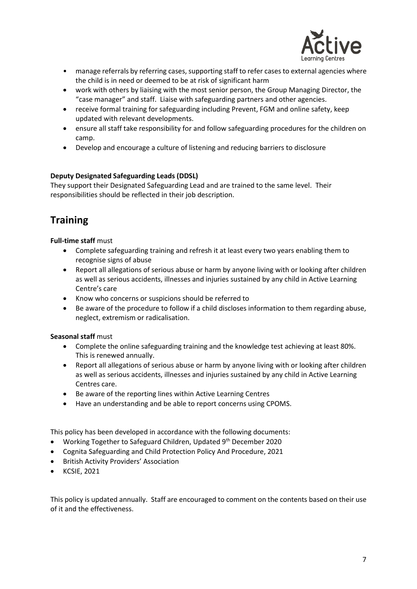

- manage referrals by referring cases, supporting staff to refer cases to external agencies where the child is in need or deemed to be at risk of significant harm
- work with others by liaising with the most senior person, the Group Managing Director, the "case manager" and staff. Liaise with safeguarding partners and other agencies.
- receive formal training for safeguarding including Prevent, FGM and online safety, keep updated with relevant developments.
- ensure all staff take responsibility for and follow safeguarding procedures for the children on camp.
- Develop and encourage a culture of listening and reducing barriers to disclosure

### **Deputy Designated Safeguarding Leads (DDSL)**

They support their Designated Safeguarding Lead and are trained to the same level. Their responsibilities should be reflected in their job description.

### **Training**

**Full-time staff** must

- Complete safeguarding training and refresh it at least every two years enabling them to recognise signs of abuse
- Report all allegations of serious abuse or harm by anyone living with or looking after children as well as serious accidents, illnesses and injuries sustained by any child in Active Learning Centre's care
- Know who concerns or suspicions should be referred to
- Be aware of the procedure to follow if a child discloses information to them regarding abuse, neglect, extremism or radicalisation.

### **Seasonal staff** must

- Complete the online safeguarding training and the knowledge test achieving at least 80%. This is renewed annually.
- Report all allegations of serious abuse or harm by anyone living with or looking after children as well as serious accidents, illnesses and injuries sustained by any child in Active Learning Centres care.
- Be aware of the reporting lines within Active Learning Centres
- Have an understanding and be able to report concerns using CPOMS.

This policy has been developed in accordance with the following documents:

- Working Together to Safeguard Children, Updated 9<sup>th</sup> December 2020
- Cognita Safeguarding and Child Protection Policy And Procedure, 2021
- British Activity Providers' Association
- KCSIE, 2021

This policy is updated annually. Staff are encouraged to comment on the contents based on their use of it and the effectiveness.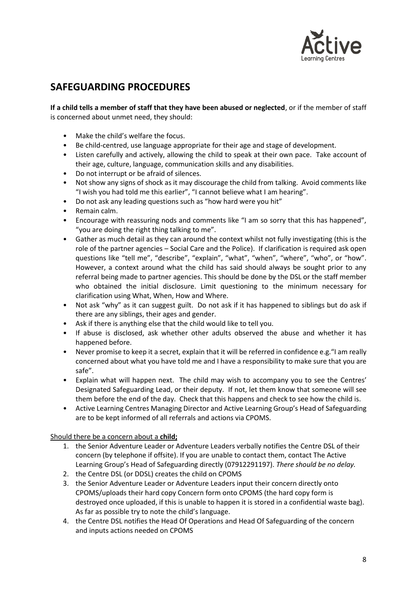

### **SAFEGUARDING PROCEDURES**

**If a child tells a member of staff that they have been abused or neglected**, or if the member of staff is concerned about unmet need, they should:

- Make the child's welfare the focus.
- Be child-centred, use language appropriate for their age and stage of development.
- Listen carefully and actively, allowing the child to speak at their own pace. Take account of their age, culture, language, communication skills and any disabilities.
- Do not interrupt or be afraid of silences.
- Not show any signs of shock as it may discourage the child from talking. Avoid comments like "I wish you had told me this earlier", "I cannot believe what I am hearing".
- Do not ask any leading questions such as "how hard were you hit"
- Remain calm.
- Encourage with reassuring nods and comments like "I am so sorry that this has happened", "you are doing the right thing talking to me".
- Gather as much detail as they can around the context whilst not fully investigating (this is the role of the partner agencies – Social Care and the Police). If clarification is required ask open questions like "tell me", "describe", "explain", "what", "when", "where", "who", or "how". However, a context around what the child has said should always be sought prior to any referral being made to partner agencies. This should be done by the DSL or the staff member who obtained the initial disclosure. Limit questioning to the minimum necessary for clarification using What, When, How and Where.
- Not ask "why" as it can suggest guilt. Do not ask if it has happened to siblings but do ask if there are any siblings, their ages and gender.
- Ask if there is anything else that the child would like to tell you.
- If abuse is disclosed, ask whether other adults observed the abuse and whether it has happened before.
- Never promise to keep it a secret, explain that it will be referred in confidence e.g."I am really concerned about what you have told me and I have a responsibility to make sure that you are safe".
- Explain what will happen next. The child may wish to accompany you to see the Centres' Designated Safeguarding Lead, or their deputy. If not, let them know that someone will see them before the end of the day. Check that this happens and check to see how the child is.
- Active Learning Centres Managing Director and Active Learning Group's Head of Safeguarding are to be kept informed of all referrals and actions via CPOMS.

Should there be a concern about a **child;**

- 1. the Senior Adventure Leader or Adventure Leaders verbally notifies the Centre DSL of their concern (by telephone if offsite). If you are unable to contact them, contact The Active Learning Group's Head of Safeguarding directly (07912291197). *There should be no delay.*
- 2. the Centre DSL (or DDSL) creates the child on CPOMS
- 3. the Senior Adventure Leader or Adventure Leaders input their concern directly onto CPOMS/uploads their hard copy Concern form onto CPOMS (the hard copy form is destroyed once uploaded, if this is unable to happen it is stored in a confidential waste bag). As far as possible try to note the child's language.
- 4. the Centre DSL notifies the Head Of Operations and Head Of Safeguarding of the concern and inputs actions needed on CPOMS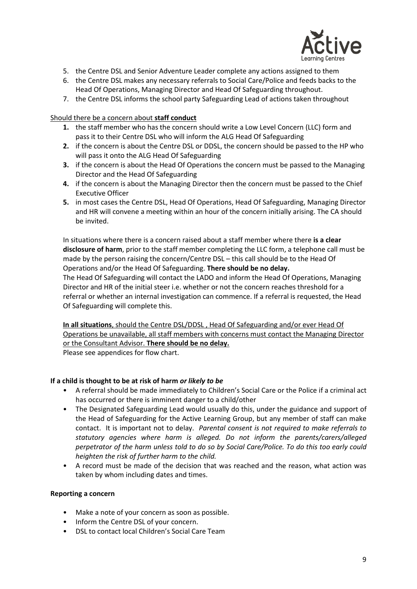

- 5. the Centre DSL and Senior Adventure Leader complete any actions assigned to them
- 6. the Centre DSL makes any necessary referrals to Social Care/Police and feeds backs to the Head Of Operations, Managing Director and Head Of Safeguarding throughout.
- 7. the Centre DSL informs the school party Safeguarding Lead of actions taken throughout

#### Should there be a concern about **staff conduct**

- **1.** the staff member who has the concern should write a Low Level Concern (LLC) form and pass it to their Centre DSL who will inform the ALG Head Of Safeguarding
- **2.** if the concern is about the Centre DSL or DDSL, the concern should be passed to the HP who will pass it onto the ALG Head Of Safeguarding
- **3.** if the concern is about the Head Of Operations the concern must be passed to the Managing Director and the Head Of Safeguarding
- **4.** if the concern is about the Managing Director then the concern must be passed to the Chief Executive Officer
- **5.** in most cases the Centre DSL, Head Of Operations, Head Of Safeguarding, Managing Director and HR will convene a meeting within an hour of the concern initially arising. The CA should be invited.

In situations where there is a concern raised about a staff member where there **is a clear disclosure of harm**, prior to the staff member completing the LLC form, a telephone call must be made by the person raising the concern/Centre DSL – this call should be to the Head Of Operations and/or the Head Of Safeguarding. **There should be no delay.**

The Head Of Safeguarding will contact the LADO and inform the Head Of Operations, Managing Director and HR of the initial steer i.e. whether or not the concern reaches threshold for a referral or whether an internal investigation can commence. If a referral is requested, the Head Of Safeguarding will complete this.

**In all situations**, should the Centre DSL/DDSL , Head Of Safeguarding and/or ever Head Of Operations be unavailable, all staff members with concerns must contact the Managing Director or the Consultant Advisor. **There should be no delay.**

Please see appendices for flow chart.

#### **If a child is thought to be at risk of harm** *or likely to be*

- A referral should be made immediately to Children's Social Care or the Police if a criminal act has occurred or there is imminent danger to a child/other
- The Designated Safeguarding Lead would usually do this, under the guidance and support of the Head of Safeguarding for the Active Learning Group, but any member of staff can make contact. It is important not to delay. *Parental consent is not required to make referrals to statutory agencies where harm is alleged. Do not inform the parents/carers/alleged perpetrator of the harm unless told to do so by Social Care/Police. To do this too early could heighten the risk of further harm to the child.*
- A record must be made of the decision that was reached and the reason, what action was taken by whom including dates and times.

#### **Reporting a concern**

- Make a note of your concern as soon as possible.
- Inform the Centre DSL of your concern.
- DSL to contact local Children's Social Care Team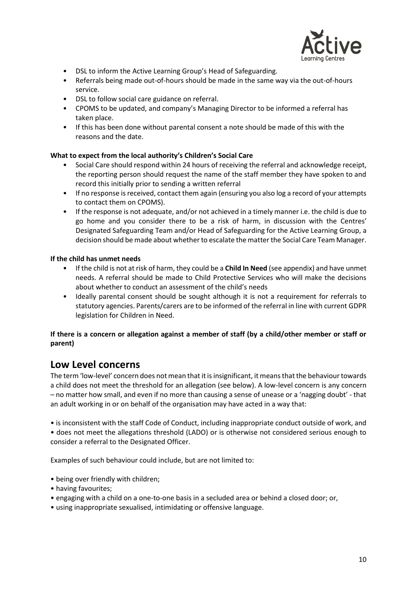

- DSL to inform the Active Learning Group's Head of Safeguarding.
- Referrals being made out-of-hours should be made in the same way via the out-of-hours service.
- DSL to follow social care guidance on referral.
- CPOMS to be updated, and company's Managing Director to be informed a referral has taken place.
- If this has been done without parental consent a note should be made of this with the reasons and the date.

#### **What to expect from the local authority's Children's Social Care**

- Social Care should respond within 24 hours of receiving the referral and acknowledge receipt, the reporting person should request the name of the staff member they have spoken to and record this initially prior to sending a written referral
- If no response is received, contact them again (ensuring you also log a record of your attempts to contact them on CPOMS).
- If the response is not adequate, and/or not achieved in a timely manner i.e. the child is due to go home and you consider there to be a risk of harm, in discussion with the Centres' Designated Safeguarding Team and/or Head of Safeguarding for the Active Learning Group, a decision should be made about whether to escalate the matter the Social Care Team Manager.

#### **If the child has unmet needs**

- If the child is not at risk of harm, they could be a **Child In Need** (see appendix) and have unmet needs. A referral should be made to Child Protective Services who will make the decisions about whether to conduct an assessment of the child's needs
- Ideally parental consent should be sought although it is not a requirement for referrals to statutory agencies. Parents/carers are to be informed of the referral in line with current GDPR legislation for Children in Need.

#### **If there is a concern or allegation against a member of staff (by a child/other member or staff or parent)**

### **Low Level concerns**

The term 'low-level' concern does not mean that it is insignificant, it means that the behaviour towards a child does not meet the threshold for an allegation (see below). A low-level concern is any concern – no matter how small, and even if no more than causing a sense of unease or a 'nagging doubt' - that an adult working in or on behalf of the organisation may have acted in a way that:

• is inconsistent with the staff Code of Conduct, including inappropriate conduct outside of work, and • does not meet the allegations threshold (LADO) or is otherwise not considered serious enough to consider a referral to the Designated Officer.

Examples of such behaviour could include, but are not limited to:

- being over friendly with children;
- having favourites;
- engaging with a child on a one-to-one basis in a secluded area or behind a closed door; or,
- using inappropriate sexualised, intimidating or offensive language.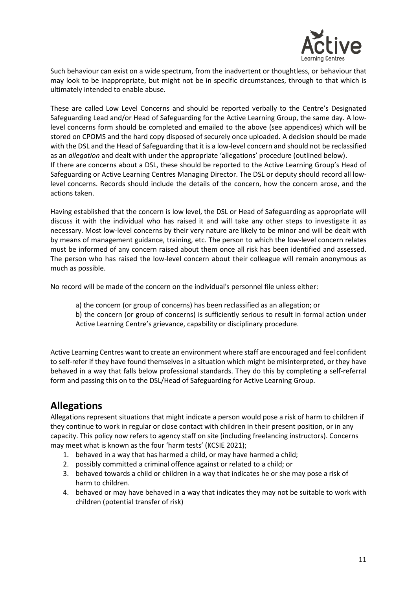

Such behaviour can exist on a wide spectrum, from the inadvertent or thoughtless, or behaviour that may look to be inappropriate, but might not be in specific circumstances, through to that which is ultimately intended to enable abuse.

These are called Low Level Concerns and should be reported verbally to the Centre's Designated Safeguarding Lead and/or Head of Safeguarding for the Active Learning Group, the same day. A lowlevel concerns form should be completed and emailed to the above (see appendices) which will be stored on CPOMS and the hard copy disposed of securely once uploaded. A decision should be made with the DSL and the Head of Safeguarding that it is a low-level concern and should not be reclassified as an *allegation* and dealt with under the appropriate 'allegations' procedure (outlined below). If there are concerns about a DSL, these should be reported to the Active Learning Group's Head of Safeguarding or Active Learning Centres Managing Director. The DSL or deputy should record all lowlevel concerns. Records should include the details of the concern, how the concern arose, and the actions taken.

Having established that the concern is low level, the DSL or Head of Safeguarding as appropriate will discuss it with the individual who has raised it and will take any other steps to investigate it as necessary. Most low-level concerns by their very nature are likely to be minor and will be dealt with by means of management guidance, training, etc. The person to which the low-level concern relates must be informed of any concern raised about them once all risk has been identified and assessed. The person who has raised the low-level concern about their colleague will remain anonymous as much as possible.

No record will be made of the concern on the individual's personnel file unless either:

a) the concern (or group of concerns) has been reclassified as an allegation; or

b) the concern (or group of concerns) is sufficiently serious to result in formal action under Active Learning Centre's grievance, capability or disciplinary procedure.

Active Learning Centres want to create an environment where staff are encouraged and feel confident to self-refer if they have found themselves in a situation which might be misinterpreted, or they have behaved in a way that falls below professional standards. They do this by completing a self-referral form and passing this on to the DSL/Head of Safeguarding for Active Learning Group.

### **Allegations**

Allegations represent situations that might indicate a person would pose a risk of harm to children if they continue to work in regular or close contact with children in their present position, or in any capacity. This policy now refers to agency staff on site (including freelancing instructors). Concerns may meet what is known as the four 'harm tests' (KCSIE 2021);

- 1. behaved in a way that has harmed a child, or may have harmed a child;
- 2. possibly committed a criminal offence against or related to a child; or
- 3. behaved towards a child or children in a way that indicates he or she may pose a risk of harm to children.
- 4. behaved or may have behaved in a way that indicates they may not be suitable to work with children (potential transfer of risk)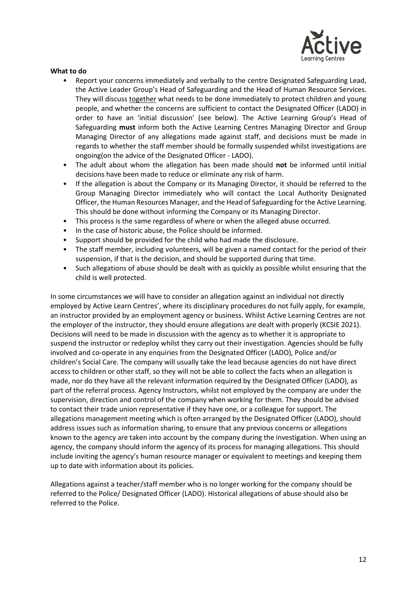

#### **What to do**

- Report your concerns immediately and verbally to the centre Designated Safeguarding Lead, the Active Leader Group's Head of Safeguarding and the Head of Human Resource Services. They will discuss together what needs to be done immediately to protect children and young people, and whether the concerns are sufficient to contact the Designated Officer (LADO) in order to have an 'initial discussion' (see below). The Active Learning Group's Head of Safeguarding **must** inform both the Active Learning Centres Managing Director and Group Managing Director of any allegations made against staff, and decisions must be made in regards to whether the staff member should be formally suspended whilst investigations are ongoing(on the advice of the Designated Officer - LADO).
- The adult about whom the allegation has been made should **not** be informed until initial decisions have been made to reduce or eliminate any risk of harm.
- If the allegation is about the Company or its Managing Director, it should be referred to the Group Managing Director immediately who will contact the Local Authority Designated Officer, the Human Resources Manager, and the Head of Safeguarding for the Active Learning. This should be done without informing the Company or its Managing Director.
- This process is the same regardless of where or when the alleged abuse occurred.
- In the case of historic abuse, the Police should be informed.
- Support should be provided for the child who had made the disclosure.
- The staff member, including volunteers, will be given a named contact for the period of their suspension, if that is the decision, and should be supported during that time.
- Such allegations of abuse should be dealt with as quickly as possible whilst ensuring that the child is well protected.

In some circumstances we will have to consider an allegation against an individual not directly employed by Active Learn Centres', where its disciplinary procedures do not fully apply, for example, an instructor provided by an employment agency or business. Whilst Active Learning Centres are not the employer of the instructor, they should ensure allegations are dealt with properly (KCSIE 2021). Decisions will need to be made in discussion with the agency as to whether it is appropriate to suspend the instructor or redeploy whilst they carry out their investigation. Agencies should be fully involved and co-operate in any enquiries from the Designated Officer (LADO), Police and/or children's Social Care. The company will usually take the lead because agencies do not have direct access to children or other staff, so they will not be able to collect the facts when an allegation is made, nor do they have all the relevant information required by the Designated Officer (LADO), as part of the referral process. Agency Instructors, whilst not employed by the company are under the supervision, direction and control of the company when working for them. They should be advised to contact their trade union representative if they have one, or a colleague for support. The allegations management meeting which is often arranged by the Designated Officer (LADO), should address issues such as information sharing, to ensure that any previous concerns or allegations known to the agency are taken into account by the company during the investigation. When using an agency, the company should inform the agency of its process for managing allegations. This should include inviting the agency's human resource manager or equivalent to meetings and keeping them up to date with information about its policies.

Allegations against a teacher/staff member who is no longer working for the company should be referred to the Police/ Designated Officer (LADO). Historical allegations of abuse should also be referred to the Police.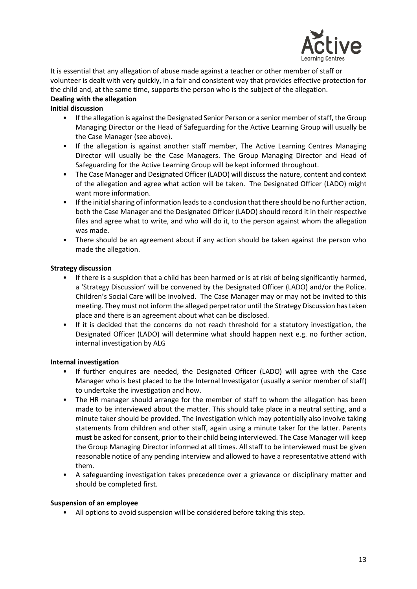

It is essential that any allegation of abuse made against a teacher or other member of staff or volunteer is dealt with very quickly, in a fair and consistent way that provides effective protection for the child and, at the same time, supports the person who is the subject of the allegation. **Dealing with the allegation** 

- **Initial discussion** 
	- If the allegation is against the Designated Senior Person or a senior member of staff, the Group Managing Director or the Head of Safeguarding for the Active Learning Group will usually be the Case Manager (see above).
	- If the allegation is against another staff member, The Active Learning Centres Managing Director will usually be the Case Managers. The Group Managing Director and Head of Safeguarding for the Active Learning Group will be kept informed throughout.
	- The Case Manager and Designated Officer (LADO) will discuss the nature, content and context of the allegation and agree what action will be taken. The Designated Officer (LADO) might want more information.
	- If the initial sharing of information leads to a conclusion that there should be no further action, both the Case Manager and the Designated Officer (LADO) should record it in their respective files and agree what to write, and who will do it, to the person against whom the allegation was made.
	- There should be an agreement about if any action should be taken against the person who made the allegation.

### **Strategy discussion**

- If there is a suspicion that a child has been harmed or is at risk of being significantly harmed, a 'Strategy Discussion' will be convened by the Designated Officer (LADO) and/or the Police. Children's Social Care will be involved. The Case Manager may or may not be invited to this meeting. They must not inform the alleged perpetrator until the Strategy Discussion has taken place and there is an agreement about what can be disclosed.
- If it is decided that the concerns do not reach threshold for a statutory investigation, the Designated Officer (LADO) will determine what should happen next e.g. no further action, internal investigation by ALG

### **Internal investigation**

- If further enquires are needed, the Designated Officer (LADO) will agree with the Case Manager who is best placed to be the Internal Investigator (usually a senior member of staff) to undertake the investigation and how.
- The HR manager should arrange for the member of staff to whom the allegation has been made to be interviewed about the matter. This should take place in a neutral setting, and a minute taker should be provided. The investigation which may potentially also involve taking statements from children and other staff, again using a minute taker for the latter. Parents **must** be asked for consent, prior to their child being interviewed. The Case Manager will keep the Group Managing Director informed at all times. All staff to be interviewed must be given reasonable notice of any pending interview and allowed to have a representative attend with them.
- A safeguarding investigation takes precedence over a grievance or disciplinary matter and should be completed first.

### **Suspension of an employee**

• All options to avoid suspension will be considered before taking this step.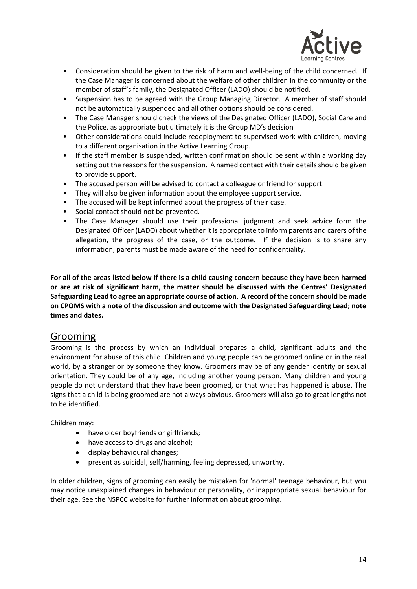

- Consideration should be given to the risk of harm and well-being of the child concerned. If the Case Manager is concerned about the welfare of other children in the community or the member of staff's family, the Designated Officer (LADO) should be notified.
- Suspension has to be agreed with the Group Managing Director. A member of staff should not be automatically suspended and all other options should be considered.
- The Case Manager should check the views of the Designated Officer (LADO), Social Care and the Police, as appropriate but ultimately it is the Group MD's decision
- Other considerations could include redeployment to supervised work with children, moving to a different organisation in the Active Learning Group.
- If the staff member is suspended, written confirmation should be sent within a working day setting out the reasons for the suspension. A named contact with their details should be given to provide support.
- The accused person will be advised to contact a colleague or friend for support.
- They will also be given information about the employee support service.
- The accused will be kept informed about the progress of their case.
- Social contact should not be prevented.
- The Case Manager should use their professional judgment and seek advice form the Designated Officer (LADO) about whether it is appropriate to inform parents and carers of the allegation, the progress of the case, or the outcome. If the decision is to share any information, parents must be made aware of the need for confidentiality.

**For all of the areas listed below if there is a child causing concern because they have been harmed or are at risk of significant harm, the matter should be discussed with the Centres' Designated Safeguarding Lead to agree an appropriate course of action. A record of the concern should be made on CPOMS with a note of the discussion and outcome with the Designated Safeguarding Lead; note times and dates.**

### Grooming

Grooming is the process by which an individual prepares a child, significant adults and the environment for abuse of this child. Children and young people can be groomed online or in the real world, by a stranger or by someone they know. Groomers may be of any gender identity or sexual orientation. They could be of any age, including another young person. Many children and young people do not understand that they have been groomed, or that what has happened is abuse. The signs that a child is being groomed are not always obvious. Groomers will also go to great lengths not to be identified.

Children may:

- have older boyfriends or girlfriends;
- have access to drugs and alcohol;
- display behavioural changes;
- present as suicidal, self/harming, feeling depressed, unworthy.

In older children, signs of grooming can easily be mistaken for 'normal' teenage behaviour, but you may notice unexplained changes in behaviour or personality, or inappropriate sexual behaviour for their age. See the [NSPCC website](https://www.nspcc.org.uk/preventing-abuse/keeping-children-safe/healthy-sexual-behaviour-children-young-people/) for further information about grooming.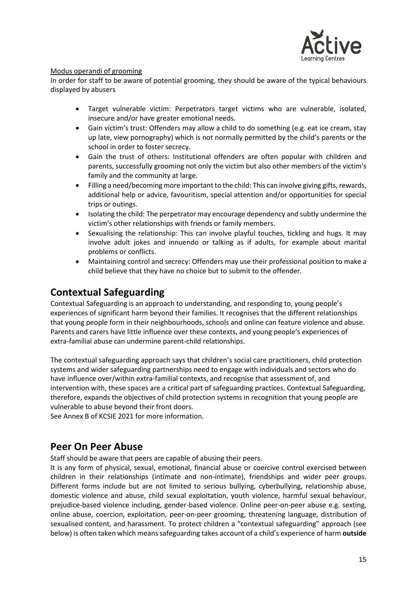

### Modus operandi of grooming

In order for staff to be aware of potential grooming, they should be aware of the typical behaviours displayed by abusers

- Target vulnerable victim: Perpetrators target victims who are vulnerable, isolated, insecure and/or have greater emotional needs.
- Gain victim's trust: Offenders may allow a child to do something (e.g. eat ice cream, stay up late, view pornography) which is not normally permitted by the child's parents or the school in order to foster secrecy.
- Gain the trust of others: Institutional offenders are often popular with children and parents, successfully grooming not only the victim but also other members of the victim's family and the community at large.
- Filling a need/becoming more important to the child: This can involve giving gifts, rewards, additional help or advice, favouritism, special attention and/or opportunities for special trips or outings.
- Isolating the child: The perpetrator may encourage dependency and subtly undermine the victim's other relationships with friends or family members.
- Sexualising the relationship: This can involve playful touches, tickling and hugs. It may involve adult jokes and innuendo or talking as if adults, for example about marital problems or conflicts.
- Maintaining control and secrecy: Offenders may use their professional position to make a child believe that they have no choice but to submit to the offender.

### **Contextual Safeguarding**

Contextual Safeguarding is an approach to understanding, and responding to, young people's experiences of significant harm beyond their families. It recognises that the different relationships that young people form in their neighbourhoods, schools and online can feature violence and abuse. Parents and carers have little influence over these contexts, and young people's experiences of extra-familial abuse can undermine parent-child relationships.

The contextual safeguarding approach says that children's social care practitioners, child protection systems and wider safeguarding partnerships need to engage with individuals and sectors who do have influence over/within extra-familial contexts, and recognise that assessment of, and intervention with, these spaces are a critical part of safeguarding practices. Contextual Safeguarding, therefore, expands the objectives of child protection systems in recognition that young people are vulnerable to abuse beyond their front doors.

See Annex B of KCSIE 2021 for more information.

### **Peer On Peer Abuse**

Staff should be aware that peers are capable of abusing their peers.

It is any form of physical, sexual, emotional, financial abuse or coercive control exercised between children in their relationships (intimate and non-intimate), friendships and wider peer groups. Different forms include but are not limited to serious bullying, cyberbullying, relationship abuse, domestic violence and abuse, child sexual exploitation, youth violence, harmful sexual behaviour, prejudice-based violence including, gender-based violence. Online peer-on-peer abuse e.g. sexting, online abuse, coercion, exploitation, peer-on-peer grooming, threatening language, distribution of sexualised content, and harassment. To protect children a "contextual safeguarding" approach (see below) is often taken which means safeguarding takes account of a child's experience of harm **outside**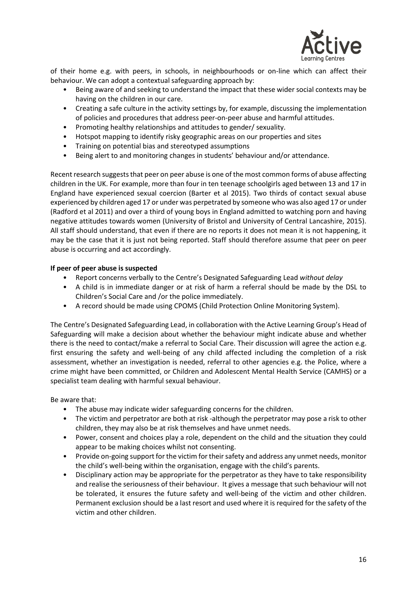

of their home e.g. with peers, in schools, in neighbourhoods or on-line which can affect their behaviour. We can adopt a contextual safeguarding approach by:

- Being aware of and seeking to understand the impact that these wider social contexts may be having on the children in our care.
- Creating a safe culture in the activity settings by, for example, discussing the implementation of policies and procedures that address peer-on-peer abuse and harmful attitudes.
- Promoting healthy relationships and attitudes to gender/ sexuality.
- Hotspot mapping to identify risky geographic areas on our properties and sites
- Training on potential bias and stereotyped assumptions
- Being alert to and monitoring changes in students' behaviour and/or attendance.

Recent research suggests that peer on peer abuse is one of the most common forms of abuse affecting children in the UK. For example, more than four in ten teenage schoolgirls aged between 13 and 17 in England have experienced sexual coercion (Barter et al 2015). Two thirds of contact sexual abuse experienced by children aged 17 or under was perpetrated by someone who was also aged 17 or under (Radford et al 2011) and over a third of young boys in England admitted to watching porn and having negative attitudes towards women (University of Bristol and University of Central Lancashire, 2015). All staff should understand, that even if there are no reports it does not mean it is not happening, it may be the case that it is just not being reported. Staff should therefore assume that peer on peer abuse is occurring and act accordingly.

#### **If peer of peer abuse is suspected**

- Report concerns verbally to the Centre's Designated Safeguarding Lead *without delay*
- A child is in immediate danger or at risk of harm a referral should be made by the DSL to Children's Social Care and /or the police immediately.
- A record should be made using CPOMS (Child Protection Online Monitoring System).

The Centre's Designated Safeguarding Lead, in collaboration with the Active Learning Group's Head of Safeguarding will make a decision about whether the behaviour might indicate abuse and whether there is the need to contact/make a referral to Social Care. Their discussion will agree the action e.g. first ensuring the safety and well-being of any child affected including the completion of a risk assessment, whether an investigation is needed, referral to other agencies e.g. the Police, where a crime might have been committed, or Children and Adolescent Mental Health Service (CAMHS) or a specialist team dealing with harmful sexual behaviour.

Be aware that:

- The abuse may indicate wider safeguarding concerns for the children.
- The victim and perpetrator are both at risk -although the perpetrator may pose a risk to other children, they may also be at risk themselves and have unmet needs.
- Power, consent and choices play a role, dependent on the child and the situation they could appear to be making choices whilst not consenting.
- Provide on-going support for the victim for their safety and address any unmet needs, monitor the child's well-being within the organisation, engage with the child's parents.
- Disciplinary action may be appropriate for the perpetrator as they have to take responsibility and realise the seriousness of their behaviour. It gives a message that such behaviour will not be tolerated, it ensures the future safety and well-being of the victim and other children. Permanent exclusion should be a last resort and used where it is required for the safety of the victim and other children.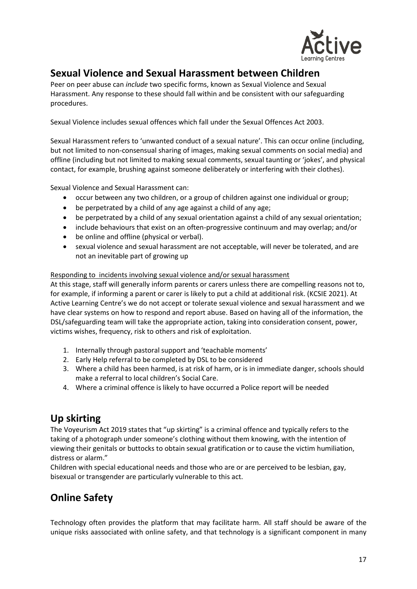

### **Sexual Violence and Sexual Harassment between Children**

Peer on peer abuse can *include* two specific forms, known as Sexual Violence and Sexual Harassment. Any response to these should fall within and be consistent with our safeguarding procedures.

Sexual Violence includes sexual offences which fall under the Sexual Offences Act 2003.

Sexual Harassment refers to 'unwanted conduct of a sexual nature'. This can occur online (including, but not limited to non-consensual sharing of images, making sexual comments on social media) and offline (including but not limited to making sexual comments, sexual taunting or 'jokes', and physical contact, for example, brushing against someone deliberately or interfering with their clothes).

Sexual Violence and Sexual Harassment can:

- occur between any two children, or a group of children against one individual or group;
- be perpetrated by a child of any age against a child of any age;
- be perpetrated by a child of any sexual orientation against a child of any sexual orientation;
- include behaviours that exist on an often-progressive continuum and may overlap; and/or
- be online and offline (physical or verbal).
- sexual violence and sexual harassment are not acceptable, will never be tolerated, and are not an inevitable part of growing up

#### Responding to incidents involving sexual violence and/or sexual harassment

At this stage, staff will generally inform parents or carers unless there are compelling reasons not to, for example, if informing a parent or carer is likely to put a child at additional risk. (KCSIE 2021). At Active Learning Centre's we do not accept or tolerate sexual violence and sexual harassment and we have clear systems on how to respond and report abuse. Based on having all of the information, the DSL/safeguarding team will take the appropriate action, taking into consideration consent, power, victims wishes, frequency, risk to others and risk of exploitation.

- 1. Internally through pastoral support and 'teachable moments'
- 2. Early Help referral to be completed by DSL to be considered
- 3. Where a child has been harmed, is at risk of harm, or is in immediate danger, schools should make a referral to local children's Social Care.
- 4. Where a criminal offence is likely to have occurred a Police report will be needed

### **Up skirting**

The Voyeurism Act 2019 states that "up skirting" is a criminal offence and typically refers to the taking of a photograph under someone's clothing without them knowing, with the intention of viewing their genitals or buttocks to obtain sexual gratification or to cause the victim humiliation, distress or alarm."

Children with special educational needs and those who are or are perceived to be lesbian, gay, bisexual or transgender are particularly vulnerable to this act.

### **Online Safety**

Technology often provides the platform that may facilitate harm. All staff should be aware of the unique risks aassociated with online safety, and that technology is a significant component in many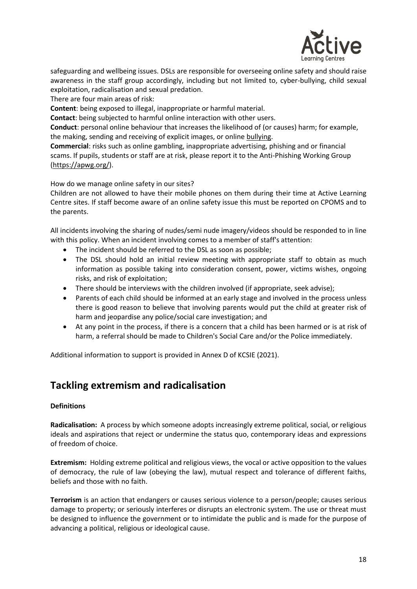

safeguarding and wellbeing issues. DSLs are responsible for overseeing online safety and should raise awareness in the staff group accordingly, including but not limited to, cyber-bullying, child sexual exploitation, radicalisation and sexual predation.

There are four main areas of risk:

**Content**: being exposed to illegal, inappropriate or harmful material.

**Contact**: being subjected to harmful online interaction with other users.

**Conduct**: personal online behaviour that increases the likelihood of (or causes) harm; for example, the making, sending and receiving of explicit images, or online bullying.

**Commercial**: risks such as online gambling, inappropriate advertising, phishing and or financial scams. If pupils, students or staff are at risk, please report it to the Anti-Phishing Working Group [\(https://apwg.org/\)](https://apwg.org/).

How do we manage online safety in our sites?

Children are not allowed to have their mobile phones on them during their time at Active Learning Centre sites. If staff become aware of an online safety issue this must be reported on CPOMS and to the parents.

All incidents involving the sharing of nudes/semi nude imagery/videos should be responded to in line with this policy. When an incident involving comes to a member of staff's attention:

- The incident should be referred to the DSL as soon as possible;
- The DSL should hold an initial review meeting with appropriate staff to obtain as much information as possible taking into consideration consent, power, victims wishes, ongoing risks, and risk of exploitation;
- There should be interviews with the children involved (if appropriate, seek advise);
- Parents of each child should be informed at an early stage and involved in the process unless there is good reason to believe that involving parents would put the child at greater risk of harm and jeopardise any police/social care investigation; and
- At any point in the process, if there is a concern that a child has been harmed or is at risk of harm, a referral should be made to Children's Social Care and/or the Police immediately.

Additional information to support is provided in Annex D of KCSIE (2021).

### **Tackling extremism and radicalisation**

#### **Definitions**

**Radicalisation:** A process by which someone adopts increasingly extreme political, social, or religious ideals and aspirations that reject or undermine the status quo, contemporary ideas and expressions of freedom of choice.

**Extremism:** Holding extreme political and religious views, the vocal or active opposition to the values of democracy, the rule of law (obeying the law), mutual respect and tolerance of different faiths, beliefs and those with no faith.

**Terrorism** is an action that endangers or causes serious violence to a person/people; causes serious damage to property; or seriously interferes or disrupts an electronic system. The use or threat must be designed to influence the government or to intimidate the public and is made for the purpose of advancing a political, religious or ideological cause.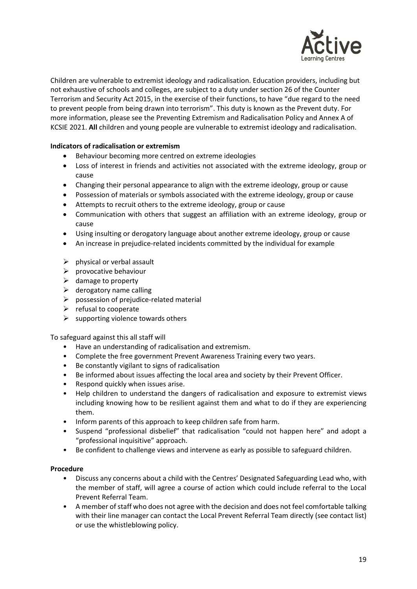

Children are vulnerable to extremist ideology and radicalisation. Education providers, including but not exhaustive of schools and colleges, are subject to a duty under section 26 of the Counter Terrorism and Security Act 2015, in the exercise of their functions, to have "due regard to the need to prevent people from being drawn into terrorism". This duty is known as the Prevent duty. For more information, please see the Preventing Extremism and Radicalisation Policy and Annex A of KCSIE 2021. **All** children and young people are vulnerable to extremist ideology and radicalisation.

### **Indicators of radicalisation or extremism**

- Behaviour becoming more centred on extreme ideologies
- Loss of interest in friends and activities not associated with the extreme ideology, group or cause
- Changing their personal appearance to align with the extreme ideology, group or cause
- Possession of materials or symbols associated with the extreme ideology, group or cause
- Attempts to recruit others to the extreme ideology, group or cause
- Communication with others that suggest an affiliation with an extreme ideology, group or cause
- Using insulting or derogatory language about another extreme ideology, group or cause
- An increase in prejudice-related incidents committed by the individual for example
- $\triangleright$  physical or verbal assault
- $\triangleright$  provocative behaviour
- $\triangleright$  damage to property
- $\triangleright$  derogatory name calling
- $\triangleright$  possession of prejudice-related material
- $\triangleright$  refusal to cooperate
- $\triangleright$  supporting violence towards others

To safeguard against this all staff will

- Have an understanding of radicalisation and extremism.
- Complete the free government Prevent Awareness Training every two years.
- Be constantly vigilant to signs of radicalisation
- Be informed about issues affecting the local area and society by their Prevent Officer.
- Respond quickly when issues arise.
- Help children to understand the dangers of radicalisation and exposure to extremist views including knowing how to be resilient against them and what to do if they are experiencing them.
- Inform parents of this approach to keep children safe from harm.
- Suspend "professional disbelief" that radicalisation "could not happen here" and adopt a "professional inquisitive" approach.
- Be confident to challenge views and intervene as early as possible to safeguard children.

#### **Procedure**

- Discuss any concerns about a child with the Centres' Designated Safeguarding Lead who, with the member of staff, will agree a course of action which could include referral to the Local Prevent Referral Team.
- A member of staff who does not agree with the decision and does not feel comfortable talking with their line manager can contact the Local Prevent Referral Team directly (see contact list) or use the whistleblowing policy.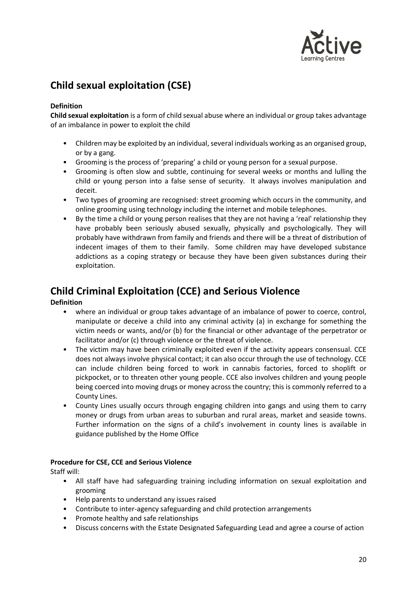

### **Child sexual exploitation (CSE)**

### **Definition**

**Child sexual exploitation** is a form of child sexual abuse where an individual or group takes advantage of an imbalance in power to exploit the child

- Children may be exploited by an individual, several individuals working as an organised group, or by a gang.
- Grooming is the process of 'preparing' a child or young person for a sexual purpose.
- Grooming is often slow and subtle, continuing for several weeks or months and lulling the child or young person into a false sense of security. It always involves manipulation and deceit.
- Two types of grooming are recognised: street grooming which occurs in the community, and online grooming using technology including the internet and mobile telephones.
- By the time a child or young person realises that they are not having a 'real' relationship they have probably been seriously abused sexually, physically and psychologically. They will probably have withdrawn from family and friends and there will be a threat of distribution of indecent images of them to their family. Some children may have developed substance addictions as a coping strategy or because they have been given substances during their exploitation.

### **Child Criminal Exploitation (CCE) and Serious Violence**

### **Definition**

- where an individual or group takes advantage of an imbalance of power to coerce, control, manipulate or deceive a child into any criminal activity (a) in exchange for something the victim needs or wants, and/or (b) for the financial or other advantage of the perpetrator or facilitator and/or (c) through violence or the threat of violence.
- The victim may have been criminally exploited even if the activity appears consensual. CCE does not always involve physical contact; it can also occur through the use of technology. CCE can include children being forced to work in cannabis factories, forced to shoplift or pickpocket, or to threaten other young people. CCE also involves children and young people being coerced into moving drugs or money across the country; this is commonly referred to a County Lines.
- County Lines usually occurs through engaging children into gangs and using them to carry money or drugs from urban areas to suburban and rural areas, market and seaside towns. Further information on the signs of a child's involvement in county lines is available in guidance published by the Home Office

### **Procedure for CSE, CCE and Serious Violence**

Staff will:

- All staff have had safeguarding training including information on sexual exploitation and grooming
- Help parents to understand any issues raised
- Contribute to inter-agency safeguarding and child protection arrangements
- Promote healthy and safe relationships
- Discuss concerns with the Estate Designated Safeguarding Lead and agree a course of action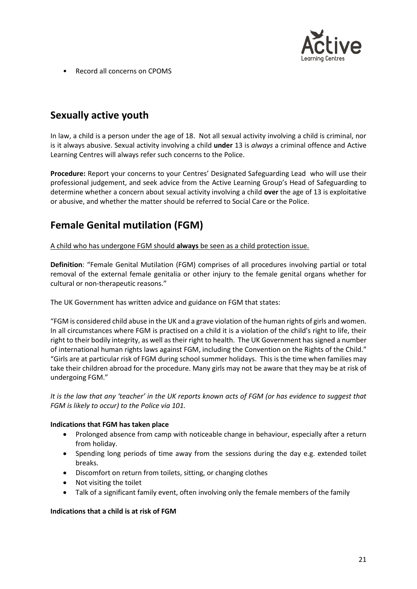

• Record all concerns on CPOMS

### **Sexually active youth**

In law, a child is a person under the age of 18. Not all sexual activity involving a child is criminal, nor is it always abusive. Sexual activity involving a child **under** 13 is *always* a criminal offence and Active Learning Centres will always refer such concerns to the Police.

**Procedure:** Report your concerns to your Centres' Designated Safeguarding Lead who will use their professional judgement, and seek advice from the Active Learning Group's Head of Safeguarding to determine whether a concern about sexual activity involving a child **over** the age of 13 is exploitative or abusive, and whether the matter should be referred to Social Care or the Police.

### **Female Genital mutilation (FGM)**

A child who has undergone FGM should **always** be seen as a child protection issue.

**Definition**: "Female Genital Mutilation (FGM) comprises of all procedures involving partial or total removal of the external female genitalia or other injury to the female genital organs whether for cultural or non-therapeutic reasons."

The UK Government has written advice and guidance on FGM that states:

"FGM is considered child abuse in the UK and a grave violation of the human rights of girls and women. In all circumstances where FGM is practised on a child it is a violation of the child's right to life, their right to their bodily integrity, as well as their right to health. The UK Government has signed a number of international human rights laws against FGM, including the Convention on the Rights of the Child." "Girls are at particular risk of FGM during school summer holidays. This is the time when families may take their children abroad for the procedure. Many girls may not be aware that they may be at risk of undergoing FGM."

*It is the law that any 'teacher' in the UK reports known acts of FGM (or has evidence to suggest that FGM is likely to occur) to the Police via 101.*

### **Indications that FGM has taken place**

- Prolonged absence from camp with noticeable change in behaviour, especially after a return from holiday.
- Spending long periods of time away from the sessions during the day e.g. extended toilet breaks.
- Discomfort on return from toilets, sitting, or changing clothes
- Not visiting the toilet
- Talk of a significant family event, often involving only the female members of the family

#### **Indications that a child is at risk of FGM**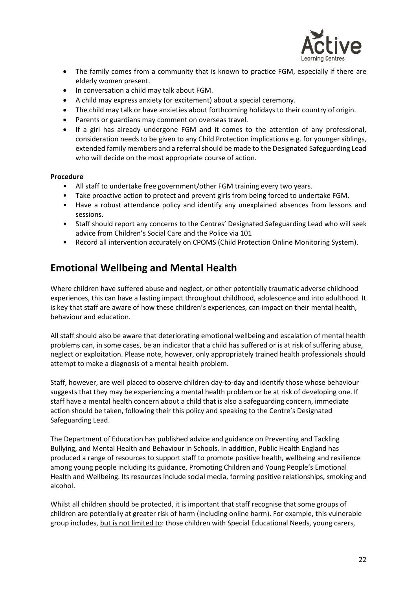

- The family comes from a community that is known to practice FGM, especially if there are elderly women present.
- In conversation a child may talk about FGM.
- A child may express anxiety (or excitement) about a special ceremony.
- The child may talk or have anxieties about forthcoming holidays to their country of origin.
- Parents or guardians may comment on overseas travel.
- If a girl has already undergone FGM and it comes to the attention of any professional, consideration needs to be given to any Child Protection implications e.g. for younger siblings, extended family members and a referral should be made to the Designated Safeguarding Lead who will decide on the most appropriate course of action.

#### **Procedure**

- All staff to undertake free government/other FGM training every two years.
- Take proactive action to protect and prevent girls from being forced to undertake FGM.
- Have a robust attendance policy and identify any unexplained absences from lessons and sessions.
- Staff should report any concerns to the Centres' Designated Safeguarding Lead who will seek advice from Children's Social Care and the Police via 101
- Record all intervention accurately on CPOMS (Child Protection Online Monitoring System).

### **Emotional Wellbeing and Mental Health**

Where children have suffered abuse and neglect, or other potentially traumatic adverse childhood experiences, this can have a lasting impact throughout childhood, adolescence and into adulthood. It is key that staff are aware of how these children's experiences, can impact on their mental health, behaviour and education.

All staff should also be aware that deteriorating emotional wellbeing and escalation of mental health problems can, in some cases, be an indicator that a child has suffered or is at risk of suffering abuse, neglect or exploitation. Please note, however, only appropriately trained health professionals should attempt to make a diagnosis of a mental health problem.

Staff, however, are well placed to observe children day-to-day and identify those whose behaviour suggests that they may be experiencing a mental health problem or be at risk of developing one. If staff have a mental health concern about a child that is also a safeguarding concern, immediate action should be taken, following their this policy and speaking to the Centre's Designated Safeguarding Lead.

The Department of Education has published advice and guidance on Preventing and Tackling Bullying, and Mental Health and Behaviour in Schools. In addition, Public Health England has produced a range of resources to support staff to promote positive health, wellbeing and resilience among young people including its guidance, Promoting Children and Young People's Emotional Health and Wellbeing. Its resources include social media, forming positive relationships, smoking and alcohol.

Whilst all children should be protected, it is important that staff recognise that some groups of children are potentially at greater risk of harm (including online harm). For example, this vulnerable group includes, but is not limited to: those children with Special Educational Needs, young carers,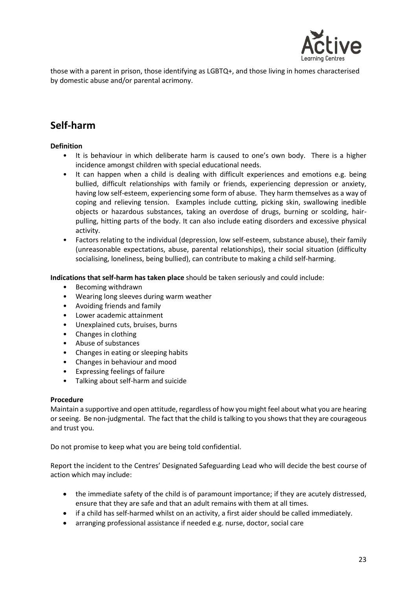

those with a parent in prison, those identifying as LGBTQ+, and those living in homes characterised by domestic abuse and/or parental acrimony.

### **Self-harm**

### **Definition**

- It is behaviour in which deliberate harm is caused to one's own body. There is a higher incidence amongst children with special educational needs.
- It can happen when a child is dealing with difficult experiences and emotions e.g. being bullied, difficult relationships with family or friends, experiencing depression or anxiety, having low self-esteem, experiencing some form of abuse. They harm themselves as a way of coping and relieving tension. Examples include cutting, picking skin, swallowing inedible objects or hazardous substances, taking an overdose of drugs, burning or scolding, hairpulling, hitting parts of the body. It can also include eating disorders and excessive physical activity.
- Factors relating to the individual (depression, low self-esteem, substance abuse), their family (unreasonable expectations, abuse, parental relationships), their social situation (difficulty socialising, loneliness, being bullied), can contribute to making a child self-harming.

**Indications that self-harm has taken place** should be taken seriously and could include:

- Becoming withdrawn
- Wearing long sleeves during warm weather
- Avoiding friends and family
- Lower academic attainment
- Unexplained cuts, bruises, burns
- Changes in clothing
- Abuse of substances
- Changes in eating or sleeping habits
- Changes in behaviour and mood
- Expressing feelings of failure
- Talking about self-harm and suicide

#### **Procedure**

Maintain a supportive and open attitude, regardless of how you might feel about what you are hearing or seeing. Be non-judgmental. The fact that the child is talking to you shows that they are courageous and trust you.

Do not promise to keep what you are being told confidential.

Report the incident to the Centres' Designated Safeguarding Lead who will decide the best course of action which may include:

- the immediate safety of the child is of paramount importance; if they are acutely distressed, ensure that they are safe and that an adult remains with them at all times.
- if a child has self-harmed whilst on an activity, a first aider should be called immediately.
- arranging professional assistance if needed e.g. nurse, doctor, social care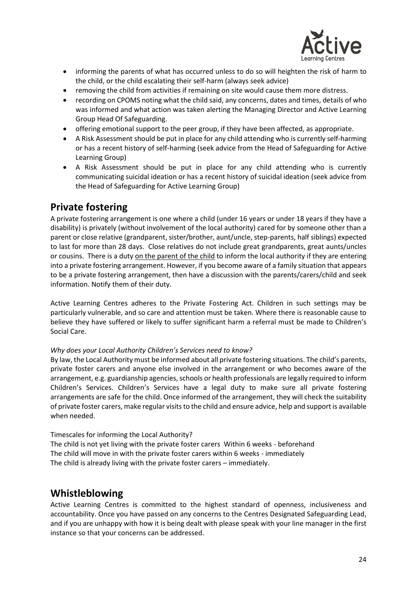

- informing the parents of what has occurred unless to do so will heighten the risk of harm to the child, or the child escalating their self-harm (always seek advice)
- removing the child from activities if remaining on site would cause them more distress.
- recording on CPOMS noting what the child said, any concerns, dates and times, details of who was informed and what action was taken alerting the Managing Director and Active Learning Group Head Of Safeguarding.
- offering emotional support to the peer group, if they have been affected, as appropriate.
- A Risk Assessment should be put in place for any child attending who is currently self-harming or has a recent history of self-harming (seek advice from the Head of Safeguarding for Active Learning Group)
- A Risk Assessment should be put in place for any child attending who is currently communicating suicidal ideation or has a recent history of suicidal ideation (seek advice from the Head of Safeguarding for Active Learning Group)

### **Private fostering**

A private fostering arrangement is one where a child (under 16 years or under 18 years if they have a disability) is privately (without involvement of the local authority) cared for by someone other than a parent or close relative (grandparent, sister/brother, aunt/uncle, step-parents, half siblings) expected to last for more than 28 days. Close relatives do not include great grandparents, great aunts/uncles or cousins. There is a duty on the parent of the child to inform the local authority if they are entering into a private fostering arrangement. However, if you become aware of a family situation that appears to be a private fostering arrangement, then have a discussion with the parents/carers/child and seek information. Notify them of their duty.

Active Learning Centres adheres to the Private Fostering Act. Children in such settings may be particularly vulnerable, and so care and attention must be taken. Where there is reasonable cause to believe they have suffered or likely to suffer significant harm a referral must be made to Children's Social Care.

### *Why does your Local Authority Children's Services need to know?*

By law, the Local Authority must be informed about all private fostering situations. The child's parents, private foster carers and anyone else involved in the arrangement or who becomes aware of the arrangement, e.g. guardianship agencies, schools or health professionals are legally required to inform Children's Services. Children's Services have a legal duty to make sure all private fostering arrangements are safe for the child. Once informed of the arrangement, they will check the suitability of private foster carers, make regular visits to the child and ensure advice, help and support is available when needed.

### Timescales for informing the Local Authority?

The child is not yet living with the private foster carers Within 6 weeks - beforehand The child will move in with the private foster carers within 6 weeks - immediately The child is already living with the private foster carers – immediately.

### **Whistleblowing**

Active Learning Centres is committed to the highest standard of openness, inclusiveness and accountability. Once you have passed on any concerns to the Centres Designated Safeguarding Lead, and if you are unhappy with how it is being dealt with please speak with your line manager in the first instance so that your concerns can be addressed.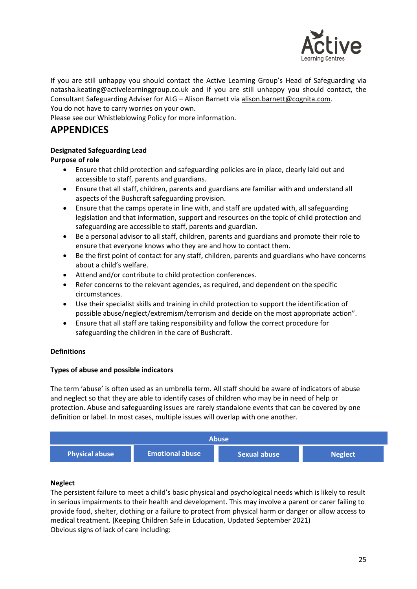

If you are still unhappy you should contact the Active Learning Group's Head of Safeguarding via natasha.keating@activelearninggroup.co.uk and if you are still unhappy you should contact, the Consultant Safeguarding Adviser for ALG – Alison Barnett vi[a alison.barnett@cognita.com.](mailto:alison.barnett@cognita.com) You do not have to carry worries on your own.

Please see our Whistleblowing Policy for more information.

### **APPENDICES**

### **Designated Safeguarding Lead**

**Purpose of role**

- Ensure that child protection and safeguarding policies are in place, clearly laid out and accessible to staff, parents and guardians.
- Ensure that all staff, children, parents and guardians are familiar with and understand all aspects of the Bushcraft safeguarding provision.
- Ensure that the camps operate in line with, and staff are updated with, all safeguarding legislation and that information, support and resources on the topic of child protection and safeguarding are accessible to staff, parents and guardian.
- Be a personal advisor to all staff, children, parents and guardians and promote their role to ensure that everyone knows who they are and how to contact them.
- Be the first point of contact for any staff, children, parents and guardians who have concerns about a child's welfare.
- Attend and/or contribute to child protection conferences.
- Refer concerns to the relevant agencies, as required, and dependent on the specific circumstances.
- Use their specialist skills and training in child protection to support the identification of possible abuse/neglect/extremism/terrorism and decide on the most appropriate action".
- Ensure that all staff are taking responsibility and follow the correct procedure for safeguarding the children in the care of Bushcraft.

### **Definitions**

### **Types of abuse and possible indicators**

The term 'abuse' is often used as an umbrella term. All staff should be aware of indicators of abuse and neglect so that they are able to identify cases of children who may be in need of help or protection. Abuse and safeguarding issues are rarely standalone events that can be covered by one definition or label. In most cases, multiple issues will overlap with one another.



#### **Neglect**

The persistent failure to meet a child's basic physical and psychological needs which is likely to result in serious impairments to their health and development. This may involve a parent or carer failing to provide food, shelter, clothing or a failure to protect from physical harm or danger or allow access to medical treatment. (Keeping Children Safe in Education, Updated September 2021) Obvious signs of lack of care including: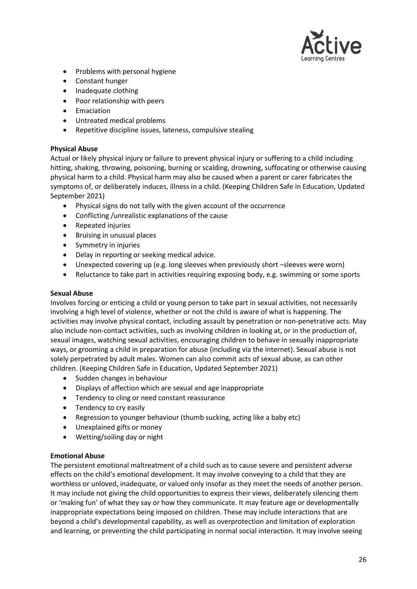

- Problems with personal hygiene
- Constant hunger
- Inadequate clothing
- Poor relationship with peers
- Emaciation
- Untreated medical problems
- Repetitive discipline issues, lateness, compulsive stealing

### **Physical Abuse**

Actual or likely physical injury or failure to prevent physical injury or suffering to a child including hitting, shaking, throwing, poisoning, burning or scalding, drowning, suffocating or otherwise causing physical harm to a child. Physical harm may also be caused when a parent or carer fabricates the symptoms of, or deliberately induces, illness in a child. (Keeping Children Safe in Education, Updated September 2021)

- Physical signs do not tally with the given account of the occurrence
- Conflicting /unrealistic explanations of the cause
- Repeated injuries
- Bruising in unusual places
- Symmetry in injuries
- Delay in reporting or seeking medical advice.
- Unexpected covering up (e.g. long sleeves when previously short –sleeves were worn)
- Reluctance to take part in activities requiring exposing body, e.g. swimming or some sports

### **Sexual Abuse**

Involves forcing or enticing a child or young person to take part in sexual activities, not necessarily involving a high level of violence, whether or not the child is aware of what is happening. The activities may involve physical contact, including assault by penetration or non-penetrative acts. May also include non-contact activities, such as involving children in looking at, or in the production of, sexual images, watching sexual activities, encouraging children to behave in sexually inappropriate ways, or grooming a child in preparation for abuse (including via the internet). Sexual abuse is not solely perpetrated by adult males. Women can also commit acts of sexual abuse, as can other children. (Keeping Children Safe in Education, Updated September 2021)

- Sudden changes in behaviour
- Displays of affection which are sexual and age inappropriate
- Tendency to cling or need constant reassurance
- Tendency to cry easily
- Regression to younger behaviour (thumb sucking, acting like a baby etc)
- Unexplained gifts or money
- Wetting/soiling day or night

### **Emotional Abuse**

The persistent emotional maltreatment of a child such as to cause severe and persistent adverse effects on the child's emotional development. It may involve conveying to a child that they are worthless or unloved, inadequate, or valued only insofar as they meet the needs of another person. It may include not giving the child opportunities to express their views, deliberately silencing them or 'making fun' of what they say or how they communicate. It may feature age or developmentally inappropriate expectations being imposed on children. These may include interactions that are beyond a child's developmental capability, as well as overprotection and limitation of exploration and learning, or preventing the child participating in normal social interaction. It may involve seeing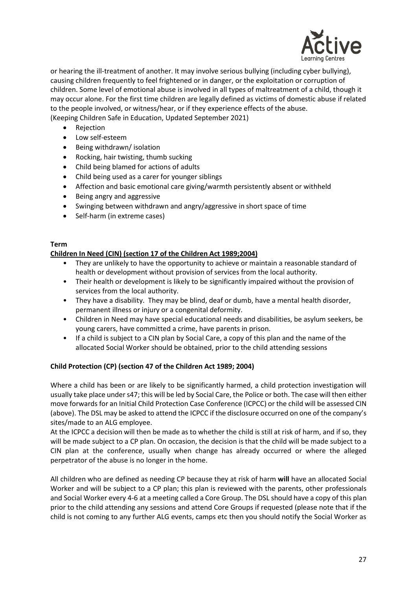

or hearing the ill-treatment of another. It may involve serious bullying (including cyber bullying), causing children frequently to feel frightened or in danger, or the exploitation or corruption of children. Some level of emotional abuse is involved in all types of maltreatment of a child, though it may occur alone. For the first time children are legally defined as victims of domestic abuse if related to the people involved, or witness/hear, or if they experience effects of the abuse. (Keeping Children Safe in Education, Updated September 2021)

- Rejection
- Low self-esteem
- Being withdrawn/ isolation
- Rocking, hair twisting, thumb sucking
- Child being blamed for actions of adults
- Child being used as a carer for younger siblings
- Affection and basic emotional care giving/warmth persistently absent or withheld
- Being angry and aggressive
- Swinging between withdrawn and angry/aggressive in short space of time
- Self-harm (in extreme cases)

#### **Term**

#### **Children In Need (CIN) (section 17 of the Children Act 1989;2004)**

- They are unlikely to have the opportunity to achieve or maintain a reasonable standard of health or development without provision of services from the local authority.
- Their health or development is likely to be significantly impaired without the provision of services from the local authority.
- They have a disability. They may be blind, deaf or dumb, have a mental health disorder, permanent illness or injury or a congenital deformity.
- Children in Need may have special educational needs and disabilities, be asylum seekers, be young carers, have committed a crime, have parents in prison.
- If a child is subject to a CIN plan by Social Care, a copy of this plan and the name of the allocated Social Worker should be obtained, prior to the child attending sessions

#### **Child Protection (CP) (section 47 of the Children Act 1989; 2004)**

Where a child has been or are likely to be significantly harmed, a child protection investigation will usually take place under s47; this will be led by Social Care, the Police or both. The case will then either move forwards for an Initial Child Protection Case Conference (ICPCC) or the child will be assessed CIN (above). The DSL may be asked to attend the ICPCC if the disclosure occurred on one of the company's sites/made to an ALG employee.

At the ICPCC a decision will then be made as to whether the child is still at risk of harm, and if so, they will be made subject to a CP plan. On occasion, the decision is that the child will be made subject to a CIN plan at the conference, usually when change has already occurred or where the alleged perpetrator of the abuse is no longer in the home.

All children who are defined as needing CP because they at risk of harm **will** have an allocated Social Worker and will be subject to a CP plan; this plan is reviewed with the parents, other professionals and Social Worker every 4-6 at a meeting called a Core Group. The DSL should have a copy of this plan prior to the child attending any sessions and attend Core Groups if requested (please note that if the child is not coming to any further ALG events, camps etc then you should notify the Social Worker as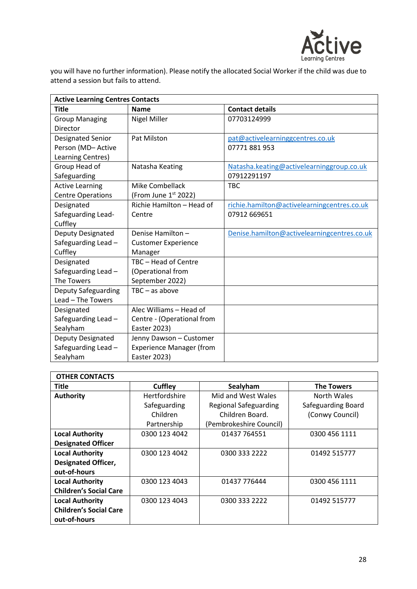

you will have no further information). Please notify the allocated Social Worker if the child was due to attend a session but fails to attend.

| <b>Active Learning Centres Contacts</b> |                                 |                                             |  |
|-----------------------------------------|---------------------------------|---------------------------------------------|--|
| <b>Title</b>                            | <b>Name</b>                     | <b>Contact details</b>                      |  |
| <b>Group Managing</b>                   | <b>Nigel Miller</b>             | 07703124999                                 |  |
| Director                                |                                 |                                             |  |
| Designated Senior                       | <b>Pat Milston</b>              | pat@activelearninggcentres.co.uk            |  |
| Person (MD-Active                       |                                 | 07771881953                                 |  |
| Learning Centres)                       |                                 |                                             |  |
| Group Head of                           | Natasha Keating                 | Natasha.keating@activelearninggroup.co.uk   |  |
| Safeguarding                            |                                 | 07912291197                                 |  |
| <b>Active Learning</b>                  | Mike Combellack                 | <b>TBC</b>                                  |  |
| <b>Centre Operations</b>                | (From June $1st$ 2022)          |                                             |  |
| Designated                              | Richie Hamilton - Head of       | richie.hamilton@activelearningcentres.co.uk |  |
| Safeguarding Lead-                      | Centre                          | 07912 669651                                |  |
| Cuffley                                 |                                 |                                             |  |
| <b>Deputy Designated</b>                | Denise Hamilton-                | Denise.hamilton@activelearningcentres.co.uk |  |
| Safeguarding Lead -                     | <b>Customer Experience</b>      |                                             |  |
| Cuffley                                 | Manager                         |                                             |  |
| Designated                              | TBC - Head of Centre            |                                             |  |
| Safeguarding Lead -                     | (Operational from               |                                             |  |
| The Towers                              | September 2022)                 |                                             |  |
| Deputy Safeguarding                     | $TBC - as above$                |                                             |  |
| Lead - The Towers                       |                                 |                                             |  |
| Designated                              | Alec Williams - Head of         |                                             |  |
| Safeguarding Lead -                     | Centre - (Operational from      |                                             |  |
| Sealyham                                | Easter 2023)                    |                                             |  |
| <b>Deputy Designated</b>                | Jenny Dawson - Customer         |                                             |  |
| Safeguarding Lead -                     | <b>Experience Manager (from</b> |                                             |  |
| Sealyham                                | Easter 2023)                    |                                             |  |

| <b>OTHER CONTACTS</b>         |               |                              |                    |
|-------------------------------|---------------|------------------------------|--------------------|
| Title                         | Cuffley       | Sealyham                     | <b>The Towers</b>  |
| <b>Authority</b>              | Hertfordshire | Mid and West Wales           | North Wales        |
|                               | Safeguarding  | <b>Regional Safeguarding</b> | Safeguarding Board |
|                               | Children      | Children Board.              | (Conwy Council)    |
|                               | Partnership   | (Pembrokeshire Council)      |                    |
| <b>Local Authority</b>        | 0300 123 4042 | 01437 764551                 | 0300 456 1111      |
| <b>Designated Officer</b>     |               |                              |                    |
| <b>Local Authority</b>        | 0300 123 4042 | 0300 333 2222                | 01492 515777       |
| <b>Designated Officer,</b>    |               |                              |                    |
| out-of-hours                  |               |                              |                    |
| <b>Local Authority</b>        | 0300 123 4043 | 01437 776444                 | 0300 456 1111      |
| <b>Children's Social Care</b> |               |                              |                    |
| <b>Local Authority</b>        | 0300 123 4043 | 0300 333 2222                | 01492 515777       |
| <b>Children's Social Care</b> |               |                              |                    |
| out-of-hours                  |               |                              |                    |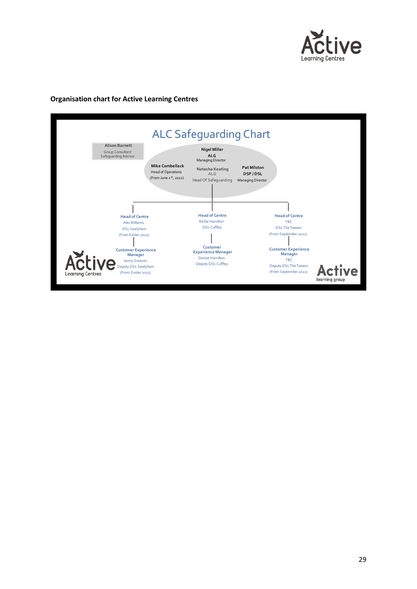

#### **Organisation chart for Active Learning Centres**

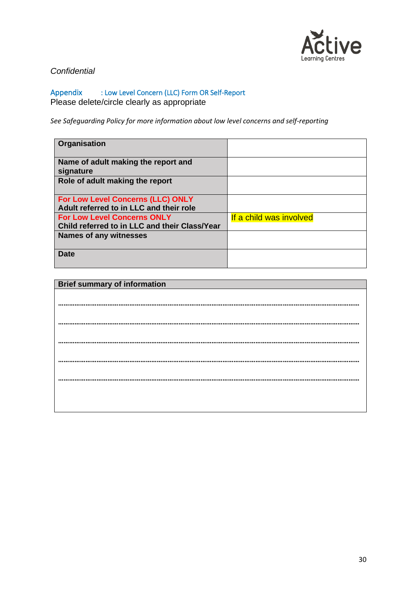

### *Confidential*

Appendix : Low Level Concern (LLC) Form OR Self-Report Please delete/circle clearly as appropriate

*See Safeguarding Policy for more information about low level concerns and self-reporting*

| Organisation                                     |                         |
|--------------------------------------------------|-------------------------|
| Name of adult making the report and<br>signature |                         |
| Role of adult making the report                  |                         |
| For Low Level Concerns (LLC) ONLY                |                         |
| Adult referred to in LLC and their role          |                         |
| <b>For Low Level Concerns ONLY</b>               | If a child was involved |
| Child referred to in LLC and their Class/Year    |                         |
| Names of any witnesses                           |                         |
| <b>Date</b>                                      |                         |

| <b>Brief summary of information</b> |
|-------------------------------------|
|                                     |
|                                     |
|                                     |
|                                     |
|                                     |
|                                     |
|                                     |
|                                     |
|                                     |
|                                     |
|                                     |
|                                     |
|                                     |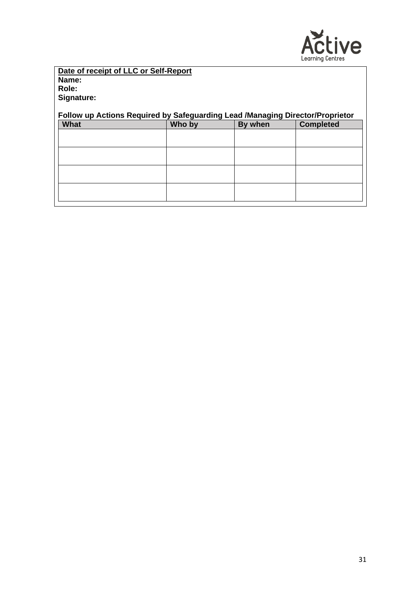

#### **Date of receipt of LLC or Self-Report Name: Role: Signature:**

### **Follow up Actions Required by Safeguarding Lead /Managing Director/Proprietor**

| What | Who by | By when | <b>Completed</b> |
|------|--------|---------|------------------|
|      |        |         |                  |
|      |        |         |                  |
|      |        |         |                  |
|      |        |         |                  |
|      |        |         |                  |
|      |        |         |                  |
|      |        |         |                  |
|      |        |         |                  |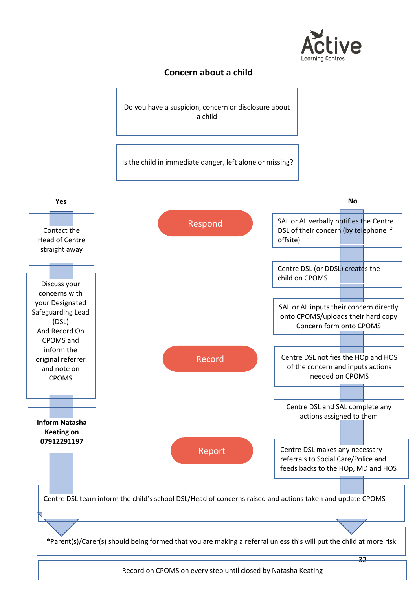

### **Concern about a child**

Do you have a suspicion, concern or disclosure about a child

Is the child in immediate danger, left alone or missing?

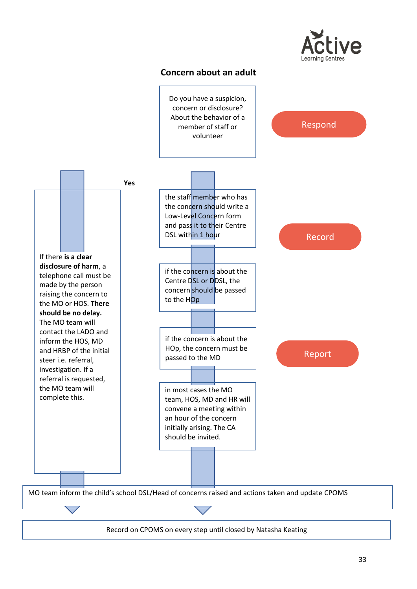

### **Concern about an adult**



Record on CPOMS on every step until closed by Natasha Keating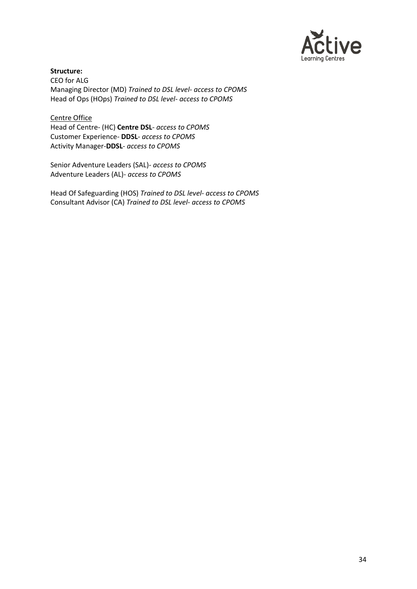

**Structure:** CEO for ALG Managing Director (MD) *Trained to DSL level- access to CPOMS* Head of Ops (HOps) *Trained to DSL level- access to CPOMS*

Centre Office Head of Centre- (HC) **Centre DSL***- access to CPOMS* Customer Experience- **DDSL***- access to CPOMS* Activity Manager-**DDSL***- access to CPOMS*

Senior Adventure Leaders (SAL)- *access to CPOMS* Adventure Leaders (AL)- *access to CPOMS*

Head Of Safeguarding (HOS) *Trained to DSL level- access to CPOMS* Consultant Advisor (CA) *Trained to DSL level- access to CPOMS*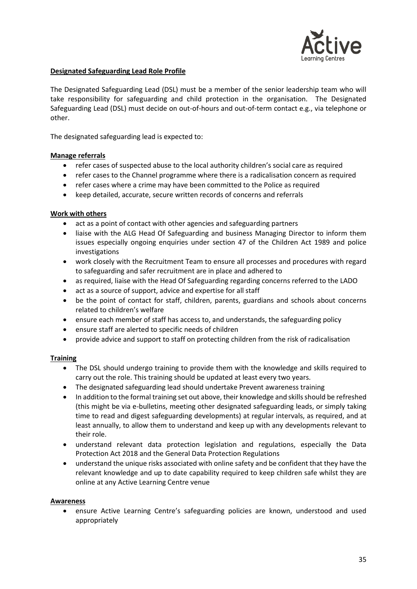

#### **Designated Safeguarding Lead Role Profile**

The Designated Safeguarding Lead (DSL) must be a member of the senior leadership team who will take responsibility for safeguarding and child protection in the organisation. The Designated Safeguarding Lead (DSL) must decide on out-of-hours and out-of-term contact e.g., via telephone or other.

The designated safeguarding lead is expected to:

#### **Manage referrals**

- refer cases of suspected abuse to the local authority children's social care as required
- refer cases to the Channel programme where there is a radicalisation concern as required
- refer cases where a crime may have been committed to the Police as required
- keep detailed, accurate, secure written records of concerns and referrals

#### **Work with others**

- act as a point of contact with other agencies and safeguarding partners
- liaise with the ALG Head Of Safeguarding and business Managing Director to inform them issues especially ongoing enquiries under section 47 of the Children Act 1989 and police investigations
- work closely with the Recruitment Team to ensure all processes and procedures with regard to safeguarding and safer recruitment are in place and adhered to
- as required, liaise with the Head Of Safeguarding regarding concerns referred to the LADO
- act as a source of support, advice and expertise for all staff
- be the point of contact for staff, children, parents, guardians and schools about concerns related to children's welfare
- ensure each member of staff has access to, and understands, the safeguarding policy
- ensure staff are alerted to specific needs of children
- provide advice and support to staff on protecting children from the risk of radicalisation

#### **Training**

- The DSL should undergo training to provide them with the knowledge and skills required to carry out the role. This training should be updated at least every two years.
- The designated safeguarding lead should undertake Prevent awareness training
- In addition to the formal training set out above, their knowledge and skills should be refreshed (this might be via e-bulletins, meeting other designated safeguarding leads, or simply taking time to read and digest safeguarding developments) at regular intervals, as required, and at least annually, to allow them to understand and keep up with any developments relevant to their role.
- understand relevant data protection legislation and regulations, especially the Data Protection Act 2018 and the General Data Protection Regulations
- understand the unique risks associated with online safety and be confident that they have the relevant knowledge and up to date capability required to keep children safe whilst they are online at any Active Learning Centre venue

#### **Awareness**

• ensure Active Learning Centre's safeguarding policies are known, understood and used appropriately